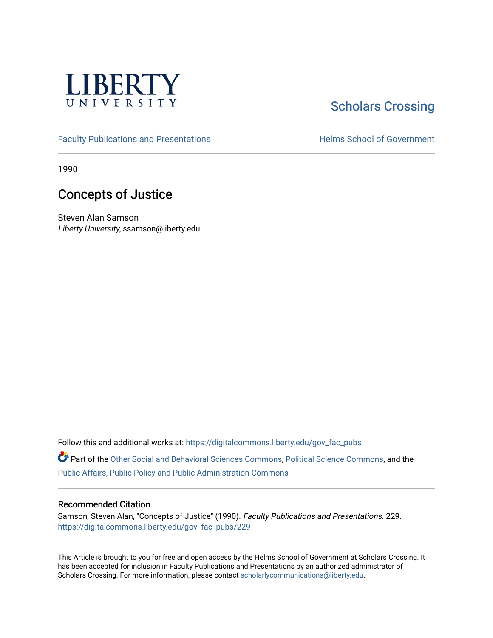

## [Scholars Crossing](https://digitalcommons.liberty.edu/)

[Faculty Publications and Presentations](https://digitalcommons.liberty.edu/gov_fac_pubs) **Exercise School of Government** 

1990

## Concepts of Justice

Steven Alan Samson Liberty University, ssamson@liberty.edu

Follow this and additional works at: [https://digitalcommons.liberty.edu/gov\\_fac\\_pubs](https://digitalcommons.liberty.edu/gov_fac_pubs?utm_source=digitalcommons.liberty.edu%2Fgov_fac_pubs%2F229&utm_medium=PDF&utm_campaign=PDFCoverPages)

Part of the [Other Social and Behavioral Sciences Commons](http://network.bepress.com/hgg/discipline/437?utm_source=digitalcommons.liberty.edu%2Fgov_fac_pubs%2F229&utm_medium=PDF&utm_campaign=PDFCoverPages), [Political Science Commons](http://network.bepress.com/hgg/discipline/386?utm_source=digitalcommons.liberty.edu%2Fgov_fac_pubs%2F229&utm_medium=PDF&utm_campaign=PDFCoverPages), and the [Public Affairs, Public Policy and Public Administration Commons](http://network.bepress.com/hgg/discipline/393?utm_source=digitalcommons.liberty.edu%2Fgov_fac_pubs%2F229&utm_medium=PDF&utm_campaign=PDFCoverPages)

## Recommended Citation

Samson, Steven Alan, "Concepts of Justice" (1990). Faculty Publications and Presentations. 229. [https://digitalcommons.liberty.edu/gov\\_fac\\_pubs/229](https://digitalcommons.liberty.edu/gov_fac_pubs/229?utm_source=digitalcommons.liberty.edu%2Fgov_fac_pubs%2F229&utm_medium=PDF&utm_campaign=PDFCoverPages)

This Article is brought to you for free and open access by the Helms School of Government at Scholars Crossing. It has been accepted for inclusion in Faculty Publications and Presentations by an authorized administrator of Scholars Crossing. For more information, please contact [scholarlycommunications@liberty.edu.](mailto:scholarlycommunications@liberty.edu)